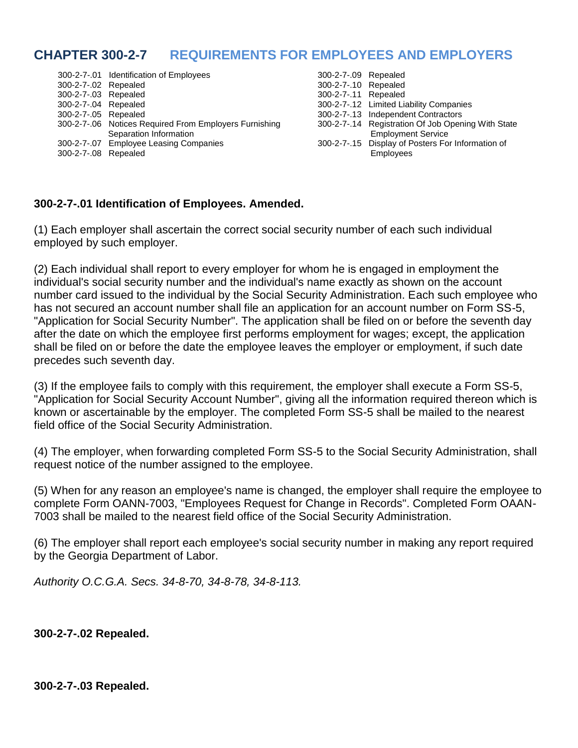# **CHAPTER 300-2-7 REQUIREMENTS FOR EMPLOYEES AND EMPLOYERS**

|                      | 300-2-7-.01 Identification of Employees                | 300-2-7-.09 Repealed |                                                    |
|----------------------|--------------------------------------------------------|----------------------|----------------------------------------------------|
| 300-2-7-.02 Repealed |                                                        | 300-2-7-.10 Repealed |                                                    |
| 300-2-7-.03 Repealed |                                                        | 300-2-7-.11 Repealed |                                                    |
| 300-2-7-.04 Repealed |                                                        |                      | 300-2-7-.12 Limited Liability Companies            |
| 300-2-7-.05 Repealed |                                                        |                      | 300-2-7-.13 Independent Contractors                |
|                      | 300-2-7-.06 Notices Required From Employers Furnishing |                      | 300-2-7-.14 Registration Of Job Opening With State |
|                      | Separation Information                                 |                      | <b>Employment Service</b>                          |
|                      | 300-2-7-.07 Employee Leasing Companies                 |                      | 300-2-7-.15 Display of Posters For Information of  |
| 300-2-7-.08 Repealed |                                                        |                      | <b>Employees</b>                                   |

| 300-2-7-.09 Repealed |                                                    |
|----------------------|----------------------------------------------------|
| 300-2-7-.10 Repealed |                                                    |
| 300-2-7-.11 Repealed |                                                    |
|                      | 300-2-7-.12 Limited Liability Companies            |
|                      | 300-2-7-.13 Independent Contractors                |
|                      | 300-2-7-.14 Registration Of Job Opening With State |
|                      | <b>Employment Service</b>                          |
|                      | 300-2-7-15 Display of Posters For Information of   |
|                      | Emplovees                                          |

### **300-2-7-.01 Identification of Employees. Amended.**

(1) Each employer shall ascertain the correct social security number of each such individual employed by such employer.

(2) Each individual shall report to every employer for whom he is engaged in employment the individual's social security number and the individual's name exactly as shown on the account number card issued to the individual by the Social Security Administration. Each such employee who has not secured an account number shall file an application for an account number on Form SS-5, "Application for Social Security Number". The application shall be filed on or before the seventh day after the date on which the employee first performs employment for wages; except, the application shall be filed on or before the date the employee leaves the employer or employment, if such date precedes such seventh day.

(3) If the employee fails to comply with this requirement, the employer shall execute a Form SS-5, "Application for Social Security Account Number", giving all the information required thereon which is known or ascertainable by the employer. The completed Form SS-5 shall be mailed to the nearest field office of the Social Security Administration.

(4) The employer, when forwarding completed Form SS-5 to the Social Security Administration, shall request notice of the number assigned to the employee.

(5) When for any reason an employee's name is changed, the employer shall require the employee to complete Form OANN-7003, "Employees Request for Change in Records". Completed Form OAAN-7003 shall be mailed to the nearest field office of the Social Security Administration.

(6) The employer shall report each employee's social security number in making any report required by the Georgia Department of Labor.

*Authority O.C.G.A. Secs. 34-8-70, 34-8-78, 34-8-113.*

**300-2-7-.02 Repealed.**

### **300-2-7-.03 Repealed.**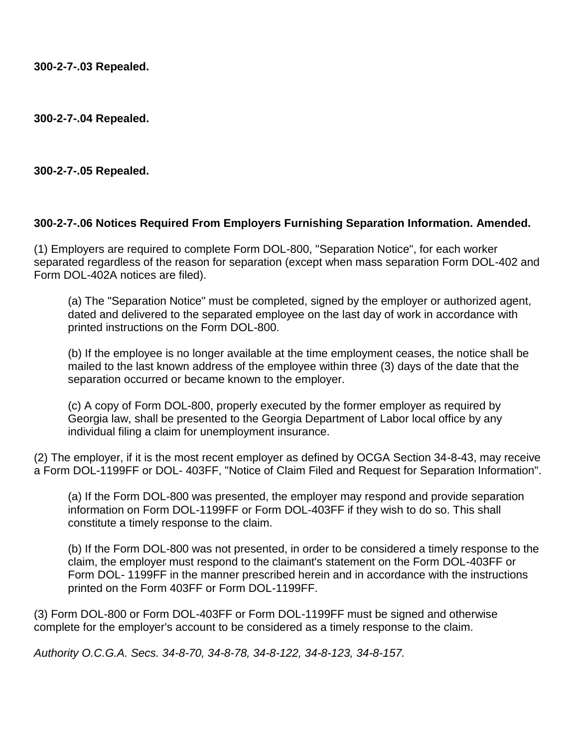**300-2-7-.03 Repealed.**

**300-2-7-.04 Repealed.**

**300-2-7-.05 Repealed.**

### **300-2-7-.06 Notices Required From Employers Furnishing Separation Information. Amended.**

(1) Employers are required to complete Form DOL-800, "Separation Notice", for each worker separated regardless of the reason for separation (except when mass separation Form DOL-402 and Form DOL-402A notices are filed).

(a) The "Separation Notice" must be completed, signed by the employer or authorized agent, dated and delivered to the separated employee on the last day of work in accordance with printed instructions on the Form DOL-800.

(b) If the employee is no longer available at the time employment ceases, the notice shall be mailed to the last known address of the employee within three (3) days of the date that the separation occurred or became known to the employer.

(c) A copy of Form DOL-800, properly executed by the former employer as required by Georgia law, shall be presented to the Georgia Department of Labor local office by any individual filing a claim for unemployment insurance.

(2) The employer, if it is the most recent employer as defined by OCGA Section 34-8-43, may receive a Form DOL-1199FF or DOL- 403FF, "Notice of Claim Filed and Request for Separation Information".

(a) If the Form DOL-800 was presented, the employer may respond and provide separation information on Form DOL-1199FF or Form DOL-403FF if they wish to do so. This shall constitute a timely response to the claim.

(b) If the Form DOL-800 was not presented, in order to be considered a timely response to the claim, the employer must respond to the claimant's statement on the Form DOL-403FF or Form DOL- 1199FF in the manner prescribed herein and in accordance with the instructions printed on the Form 403FF or Form DOL-1199FF.

(3) Form DOL-800 or Form DOL-403FF or Form DOL-1199FF must be signed and otherwise complete for the employer's account to be considered as a timely response to the claim.

*Authority O.C.G.A. Secs. 34-8-70, 34-8-78, 34-8-122, 34-8-123, 34-8-157.*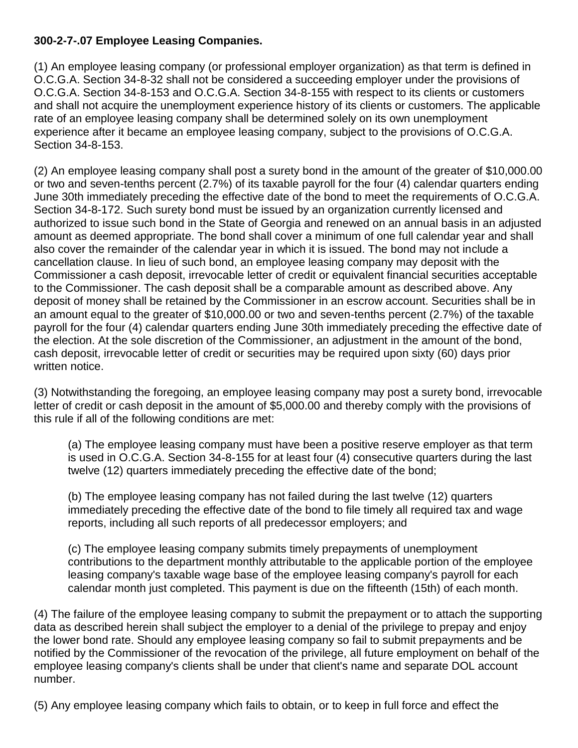# **300-2-7-.07 Employee Leasing Companies.**

(1) An employee leasing company (or professional employer organization) as that term is defined in O.C.G.A. Section 34-8-32 shall not be considered a succeeding employer under the provisions of O.C.G.A. Section 34-8-153 and O.C.G.A. Section 34-8-155 with respect to its clients or customers and shall not acquire the unemployment experience history of its clients or customers. The applicable rate of an employee leasing company shall be determined solely on its own unemployment experience after it became an employee leasing company, subject to the provisions of O.C.G.A. Section 34-8-153.

(2) An employee leasing company shall post a surety bond in the amount of the greater of \$10,000.00 or two and seven-tenths percent (2.7%) of its taxable payroll for the four (4) calendar quarters ending June 30th immediately preceding the effective date of the bond to meet the requirements of O.C.G.A. Section 34-8-172. Such surety bond must be issued by an organization currently licensed and authorized to issue such bond in the State of Georgia and renewed on an annual basis in an adjusted amount as deemed appropriate. The bond shall cover a minimum of one full calendar year and shall also cover the remainder of the calendar year in which it is issued. The bond may not include a cancellation clause. In lieu of such bond, an employee leasing company may deposit with the Commissioner a cash deposit, irrevocable letter of credit or equivalent financial securities acceptable to the Commissioner. The cash deposit shall be a comparable amount as described above. Any deposit of money shall be retained by the Commissioner in an escrow account. Securities shall be in an amount equal to the greater of \$10,000.00 or two and seven-tenths percent (2.7%) of the taxable payroll for the four (4) calendar quarters ending June 30th immediately preceding the effective date of the election. At the sole discretion of the Commissioner, an adjustment in the amount of the bond, cash deposit, irrevocable letter of credit or securities may be required upon sixty (60) days prior written notice.

(3) Notwithstanding the foregoing, an employee leasing company may post a surety bond, irrevocable letter of credit or cash deposit in the amount of \$5,000.00 and thereby comply with the provisions of this rule if all of the following conditions are met:

(a) The employee leasing company must have been a positive reserve employer as that term is used in O.C.G.A. Section 34-8-155 for at least four (4) consecutive quarters during the last twelve (12) quarters immediately preceding the effective date of the bond;

(b) The employee leasing company has not failed during the last twelve (12) quarters immediately preceding the effective date of the bond to file timely all required tax and wage reports, including all such reports of all predecessor employers; and

(c) The employee leasing company submits timely prepayments of unemployment contributions to the department monthly attributable to the applicable portion of the employee leasing company's taxable wage base of the employee leasing company's payroll for each calendar month just completed. This payment is due on the fifteenth (15th) of each month.

(4) The failure of the employee leasing company to submit the prepayment or to attach the supporting data as described herein shall subject the employer to a denial of the privilege to prepay and enjoy the lower bond rate. Should any employee leasing company so fail to submit prepayments and be notified by the Commissioner of the revocation of the privilege, all future employment on behalf of the employee leasing company's clients shall be under that client's name and separate DOL account number.

(5) Any employee leasing company which fails to obtain, or to keep in full force and effect the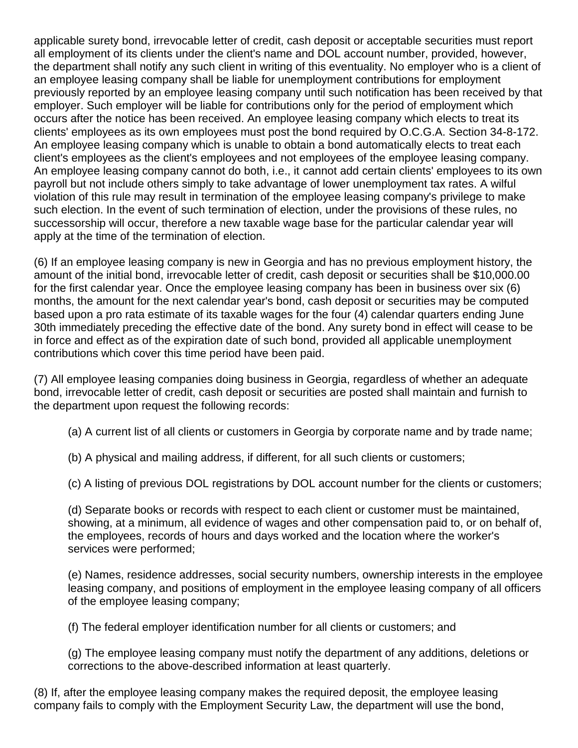applicable surety bond, irrevocable letter of credit, cash deposit or acceptable securities must report all employment of its clients under the client's name and DOL account number, provided, however, the department shall notify any such client in writing of this eventuality. No employer who is a client of an employee leasing company shall be liable for unemployment contributions for employment previously reported by an employee leasing company until such notification has been received by that employer. Such employer will be liable for contributions only for the period of employment which occurs after the notice has been received. An employee leasing company which elects to treat its clients' employees as its own employees must post the bond required by O.C.G.A. Section 34-8-172. An employee leasing company which is unable to obtain a bond automatically elects to treat each client's employees as the client's employees and not employees of the employee leasing company. An employee leasing company cannot do both, i.e., it cannot add certain clients' employees to its own payroll but not include others simply to take advantage of lower unemployment tax rates. A wilful violation of this rule may result in termination of the employee leasing company's privilege to make such election. In the event of such termination of election, under the provisions of these rules, no successorship will occur, therefore a new taxable wage base for the particular calendar year will apply at the time of the termination of election.

(6) If an employee leasing company is new in Georgia and has no previous employment history, the amount of the initial bond, irrevocable letter of credit, cash deposit or securities shall be \$10,000.00 for the first calendar year. Once the employee leasing company has been in business over six (6) months, the amount for the next calendar year's bond, cash deposit or securities may be computed based upon a pro rata estimate of its taxable wages for the four (4) calendar quarters ending June 30th immediately preceding the effective date of the bond. Any surety bond in effect will cease to be in force and effect as of the expiration date of such bond, provided all applicable unemployment contributions which cover this time period have been paid.

(7) All employee leasing companies doing business in Georgia, regardless of whether an adequate bond, irrevocable letter of credit, cash deposit or securities are posted shall maintain and furnish to the department upon request the following records:

- (a) A current list of all clients or customers in Georgia by corporate name and by trade name;
- (b) A physical and mailing address, if different, for all such clients or customers;
- (c) A listing of previous DOL registrations by DOL account number for the clients or customers;

(d) Separate books or records with respect to each client or customer must be maintained, showing, at a minimum, all evidence of wages and other compensation paid to, or on behalf of, the employees, records of hours and days worked and the location where the worker's services were performed;

(e) Names, residence addresses, social security numbers, ownership interests in the employee leasing company, and positions of employment in the employee leasing company of all officers of the employee leasing company;

(f) The federal employer identification number for all clients or customers; and

(g) The employee leasing company must notify the department of any additions, deletions or corrections to the above-described information at least quarterly.

(8) If, after the employee leasing company makes the required deposit, the employee leasing company fails to comply with the Employment Security Law, the department will use the bond,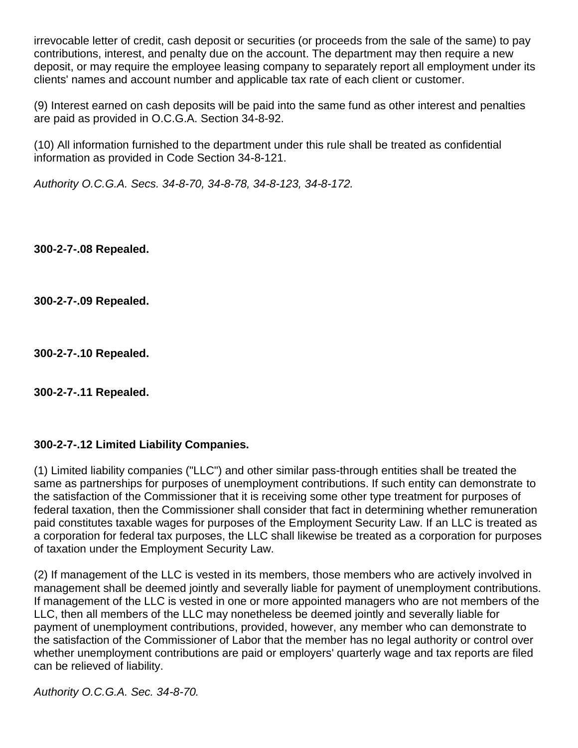irrevocable letter of credit, cash deposit or securities (or proceeds from the sale of the same) to pay contributions, interest, and penalty due on the account. The department may then require a new deposit, or may require the employee leasing company to separately report all employment under its clients' names and account number and applicable tax rate of each client or customer.

(9) Interest earned on cash deposits will be paid into the same fund as other interest and penalties are paid as provided in O.C.G.A. Section 34-8-92.

(10) All information furnished to the department under this rule shall be treated as confidential information as provided in Code Section 34-8-121.

*Authority O.C.G.A. Secs. 34-8-70, 34-8-78, 34-8-123, 34-8-172.*

**300-2-7-.08 Repealed.**

**300-2-7-.09 Repealed.**

**300-2-7-.10 Repealed.**

**300-2-7-.11 Repealed.**

# **300-2-7-.12 Limited Liability Companies.**

(1) Limited liability companies ("LLC") and other similar pass-through entities shall be treated the same as partnerships for purposes of unemployment contributions. If such entity can demonstrate to the satisfaction of the Commissioner that it is receiving some other type treatment for purposes of federal taxation, then the Commissioner shall consider that fact in determining whether remuneration paid constitutes taxable wages for purposes of the Employment Security Law. If an LLC is treated as a corporation for federal tax purposes, the LLC shall likewise be treated as a corporation for purposes of taxation under the Employment Security Law.

(2) If management of the LLC is vested in its members, those members who are actively involved in management shall be deemed jointly and severally liable for payment of unemployment contributions. If management of the LLC is vested in one or more appointed managers who are not members of the LLC, then all members of the LLC may nonetheless be deemed jointly and severally liable for payment of unemployment contributions, provided, however, any member who can demonstrate to the satisfaction of the Commissioner of Labor that the member has no legal authority or control over whether unemployment contributions are paid or employers' quarterly wage and tax reports are filed can be relieved of liability.

*Authority O.C.G.A. Sec. 34-8-70.*